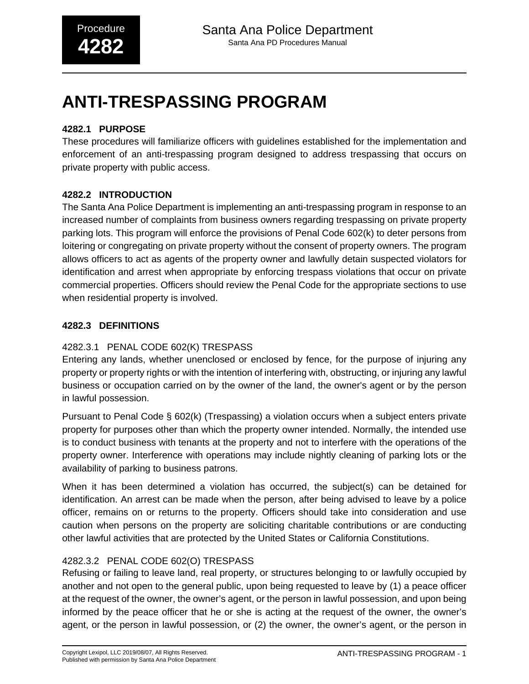# **ANTI-TRESPASSING PROGRAM**

## **4282.1 PURPOSE**

These procedures will familiarize officers with guidelines established for the implementation and enforcement of an anti-trespassing program designed to address trespassing that occurs on private property with public access.

## **4282.2 INTRODUCTION**

The Santa Ana Police Department is implementing an anti-trespassing program in response to an increased number of complaints from business owners regarding trespassing on private property parking lots. This program will enforce the provisions of Penal Code 602(k) to deter persons from loitering or congregating on private property without the consent of property owners. The program allows officers to act as agents of the property owner and lawfully detain suspected violators for identification and arrest when appropriate by enforcing trespass violations that occur on private commercial properties. Officers should review the Penal Code for the appropriate sections to use when residential property is involved.

## **4282.3 DEFINITIONS**

## 4282.3.1 PENAL CODE 602(K) TRESPASS

Entering any lands, whether unenclosed or enclosed by fence, for the purpose of injuring any property or property rights or with the intention of interfering with, obstructing, or injuring any lawful business or occupation carried on by the owner of the land, the owner's agent or by the person in lawful possession.

Pursuant to Penal Code § 602(k) (Trespassing) a violation occurs when a subject enters private property for purposes other than which the property owner intended. Normally, the intended use is to conduct business with tenants at the property and not to interfere with the operations of the property owner. Interference with operations may include nightly cleaning of parking lots or the availability of parking to business patrons.

When it has been determined a violation has occurred, the subject(s) can be detained for identification. An arrest can be made when the person, after being advised to leave by a police officer, remains on or returns to the property. Officers should take into consideration and use caution when persons on the property are soliciting charitable contributions or are conducting other lawful activities that are protected by the United States or California Constitutions.

## 4282.3.2 PENAL CODE 602(O) TRESPASS

Refusing or failing to leave land, real property, or structures belonging to or lawfully occupied by another and not open to the general public, upon being requested to leave by (1) a peace officer at the request of the owner, the owner's agent, or the person in lawful possession, and upon being informed by the peace officer that he or she is acting at the request of the owner, the owner's agent, or the person in lawful possession, or (2) the owner, the owner's agent, or the person in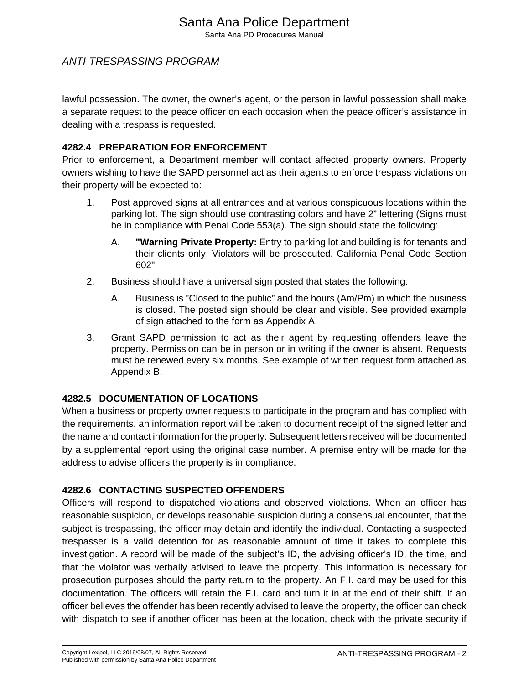## Santa Ana Police Department

Santa Ana PD Procedures Manual

## ANTI-TRESPASSING PROGRAM

lawful possession. The owner, the owner's agent, or the person in lawful possession shall make a separate request to the peace officer on each occasion when the peace officer's assistance in dealing with a trespass is requested.

### **4282.4 PREPARATION FOR ENFORCEMENT**

Prior to enforcement, a Department member will contact affected property owners. Property owners wishing to have the SAPD personnel act as their agents to enforce trespass violations on their property will be expected to:

- 1. Post approved signs at all entrances and at various conspicuous locations within the parking lot. The sign should use contrasting colors and have 2" lettering (Signs must be in compliance with Penal Code 553(a). The sign should state the following:
	- A. **"Warning Private Property:** Entry to parking lot and building is for tenants and their clients only. Violators will be prosecuted. California Penal Code Section 602"
- 2. Business should have a universal sign posted that states the following:
	- A. Business is "Closed to the public" and the hours (Am/Pm) in which the business is closed. The posted sign should be clear and visible. See provided example of sign attached to the form as Appendix A.
- 3. Grant SAPD permission to act as their agent by requesting offenders leave the property. Permission can be in person or in writing if the owner is absent. Requests must be renewed every six months. See example of written request form attached as Appendix B.

## **4282.5 DOCUMENTATION OF LOCATIONS**

When a business or property owner requests to participate in the program and has complied with the requirements, an information report will be taken to document receipt of the signed letter and the name and contact information for the property. Subsequent letters received will be documented by a supplemental report using the original case number. A premise entry will be made for the address to advise officers the property is in compliance.

## **4282.6 CONTACTING SUSPECTED OFFENDERS**

Officers will respond to dispatched violations and observed violations. When an officer has reasonable suspicion, or develops reasonable suspicion during a consensual encounter, that the subject is trespassing, the officer may detain and identify the individual. Contacting a suspected trespasser is a valid detention for as reasonable amount of time it takes to complete this investigation. A record will be made of the subject's ID, the advising officer's ID, the time, and that the violator was verbally advised to leave the property. This information is necessary for prosecution purposes should the party return to the property. An F.I. card may be used for this documentation. The officers will retain the F.I. card and turn it in at the end of their shift. If an officer believes the offender has been recently advised to leave the property, the officer can check with dispatch to see if another officer has been at the location, check with the private security if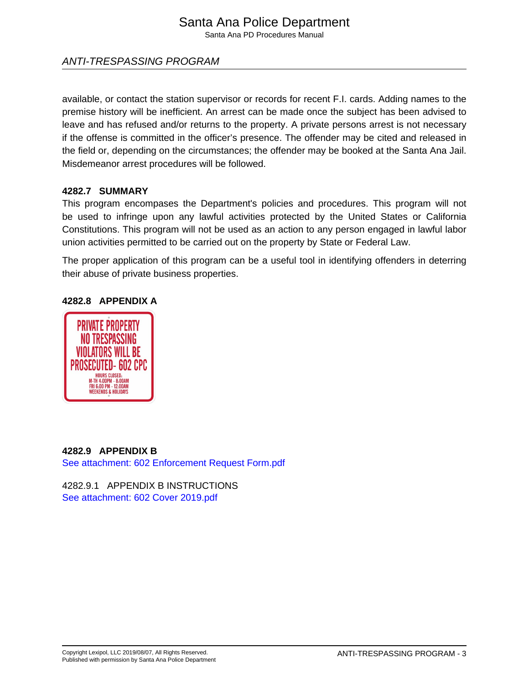## Santa Ana Police Department

Santa Ana PD Procedures Manual

## ANTI-TRESPASSING PROGRAM

available, or contact the station supervisor or records for recent F.I. cards. Adding names to the premise history will be inefficient. An arrest can be made once the subject has been advised to leave and has refused and/or returns to the property. A private persons arrest is not necessary if the offense is committed in the officer's presence. The offender may be cited and released in the field or, depending on the circumstances; the offender may be booked at the Santa Ana Jail. Misdemeanor arrest procedures will be followed.

#### **4282.7 SUMMARY**

This program encompases the Department's policies and procedures. This program will not be used to infringe upon any lawful activities protected by the United States or California Constitutions. This program will not be used as an action to any person engaged in lawful labor union activities permitted to be carried out on the property by State or Federal Law.

The proper application of this program can be a useful tool in identifying offenders in deterring their abuse of private business properties.



#### **4282.8 APPENDIX A**

#### **4282.9 APPENDIX B**

[See attachment: 602 Enforcement Request Form.pdf](#page-6-0)

4282.9.1 APPENDIX B INSTRUCTIONS [See attachment: 602 Cover 2019.pdf](#page-4-0)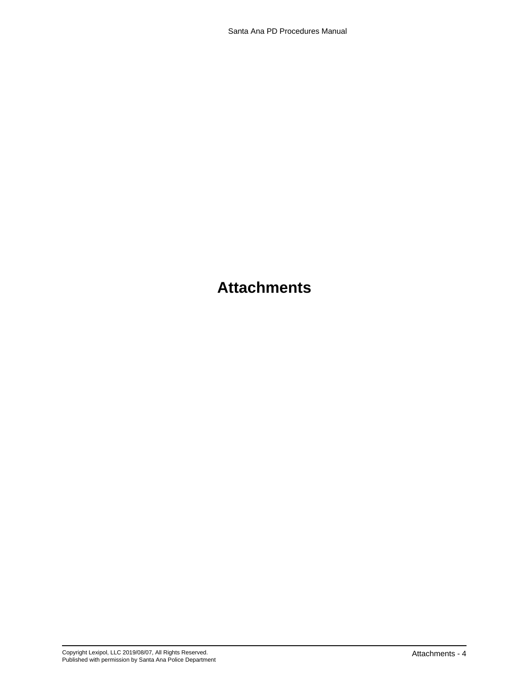## **Attachments**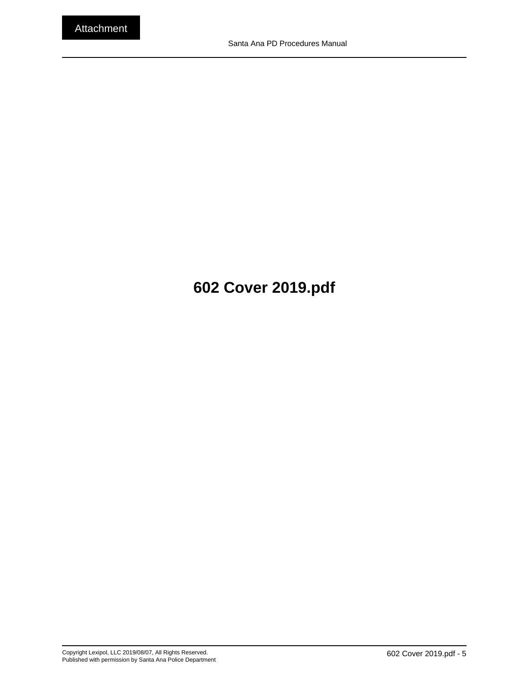# <span id="page-4-0"></span>**602 Cover 2019.pdf**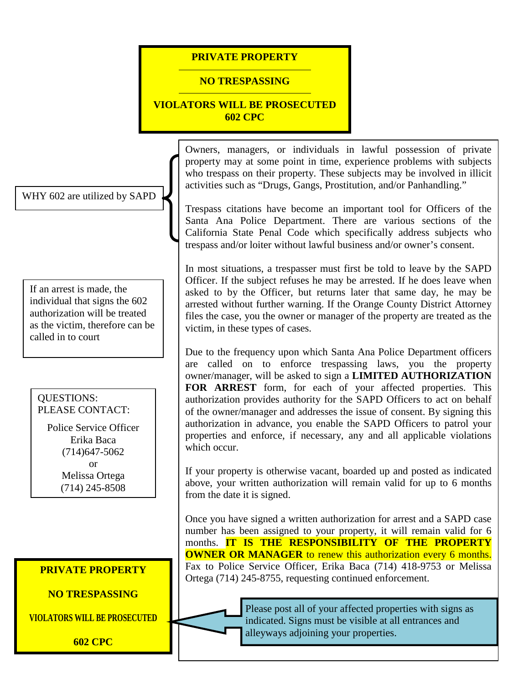## **PRIVATE PROPERTY**

### **NO TRESPASSING**

**VIOLATORS WILL BE PROSECUTED 602 CPC**

WHY 602 are utilized by SAPD

If an arrest is made, the individual that signs the 602 authorization will be treated as the victim, therefore can be called in to court

## QUESTIONS: PLEASE CONTACT:

Police Service Officer Erika Baca (714)647-5062 or Melissa Ortega (714) 245-8508



**NO TRESPASSING**

**VIOLATORS WILL BE PROSECUTED**

**602 CPC**

Owners, managers, or individuals in lawful possession of private property may at some point in time, experience problems with subjects who trespass on their property. These subjects may be involved in illicit activities such as "Drugs, Gangs, Prostitution, and/or Panhandling."

Trespass citations have become an important tool for Officers of the Santa Ana Police Department. There are various sections of the California State Penal Code which specifically address subjects who trespass and/or loiter without lawful business and/or owner's consent.

In most situations, a trespasser must first be told to leave by the SAPD Officer. If the subject refuses he may be arrested. If he does leave when asked to by the Officer, but returns later that same day, he may be arrested without further warning. If the Orange County District Attorney files the case, you the owner or manager of the property are treated as the victim, in these types of cases.

Due to the frequency upon which Santa Ana Police Department officers are called on to enforce trespassing laws, you the property owner/manager, will be asked to sign a **LIMITED AUTHORIZATION FOR ARREST** form, for each of your affected properties. This authorization provides authority for the SAPD Officers to act on behalf of the owner/manager and addresses the issue of consent. By signing this authorization in advance, you enable the SAPD Officers to patrol your properties and enforce, if necessary, any and all applicable violations which occur.

If your property is otherwise vacant, boarded up and posted as indicated above, your written authorization will remain valid for up to 6 months from the date it is signed.

Once you have signed a written authorization for arrest and a SAPD case number has been assigned to your property, it will remain valid for 6 months. **IT IS THE RESPONSIBILITY OF THE PROPERTY OWNER OR MANAGER** to renew this authorization every 6 months. Fax to Police Service Officer, Erika Baca (714) 418-9753 or Melissa Ortega (714) 245-8755, requesting continued enforcement.

> Please post all of your affected properties with signs as indicated. Signs must be visible at all entrances and alleyways adjoining your properties.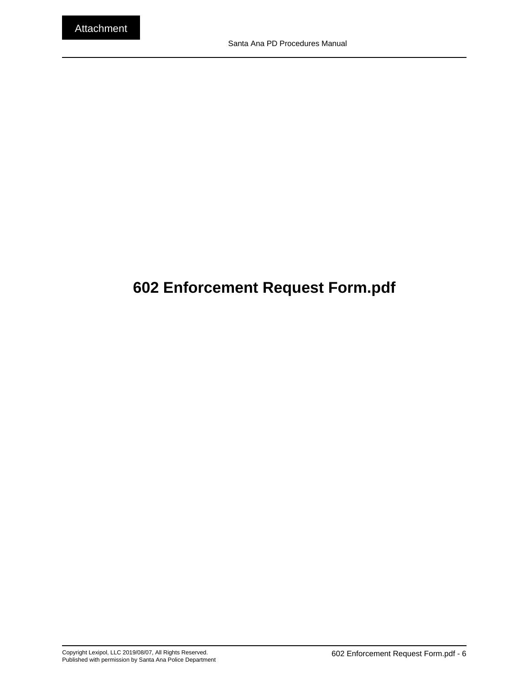# <span id="page-6-0"></span>**602 Enforcement Request Form.pdf**